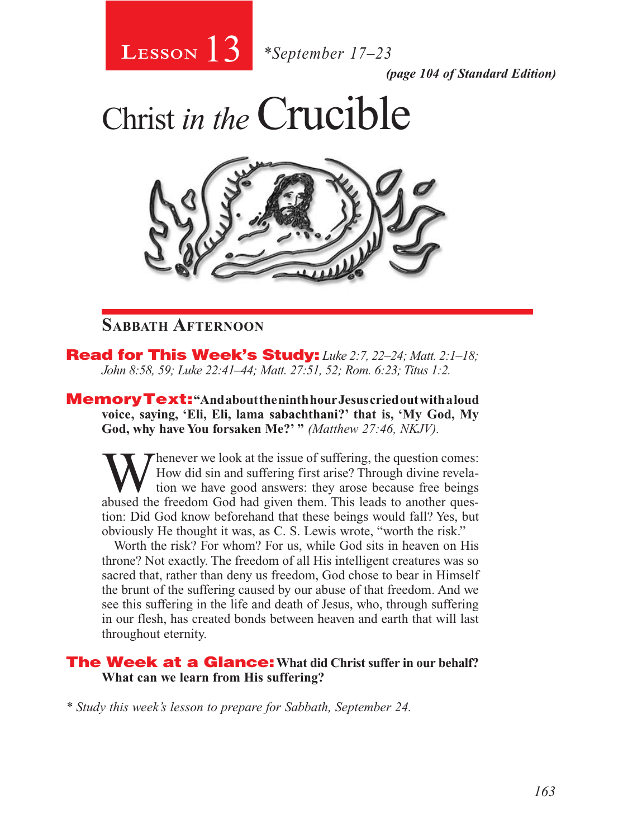

*(page 104 of Standard Edition)*

Christ *in the*Crucible



### **Sabbath Afternoon**

Read for This Week's Study: *Luke 2:7, 22–24; Matt. 2:1–18; John 8:58, 59; Luke 22:41–44; Matt. 27:51, 52; Rom. 6:23; Titus 1:2.*

MemoryText: **"And about the ninth hour Jesus cried out with a loud voice, saying, 'Eli, Eli, lama sabachthani?' that is, 'My God, My God, why have You forsaken Me?' "** *(Matthew 27:46, NKJV).* 

Whenever we look at the issue of suffering, the question comes:<br>
tion we have good answers: they arose because free beings<br>
abused the freedom God had given them. This leads to another ques How did sin and suffering first arise? Through divine revelaabused the freedom God had given them. This leads to another question: Did God know beforehand that these beings would fall? Yes, but obviously He thought it was, as C. S. Lewis wrote, "worth the risk."

Worth the risk? For whom? For us, while God sits in heaven on His throne? Not exactly. The freedom of all His intelligent creatures was so sacred that, rather than deny us freedom, God chose to bear in Himself the brunt of the suffering caused by our abuse of that freedom. And we see this suffering in the life and death of Jesus, who, through suffering in our flesh, has created bonds between heaven and earth that will last throughout eternity.

#### The Week at a Glance: **What did Christ suffer in our behalf? What can we learn from His suffering?**

*\* Study this week's lesson to prepare for Sabbath, September 24.*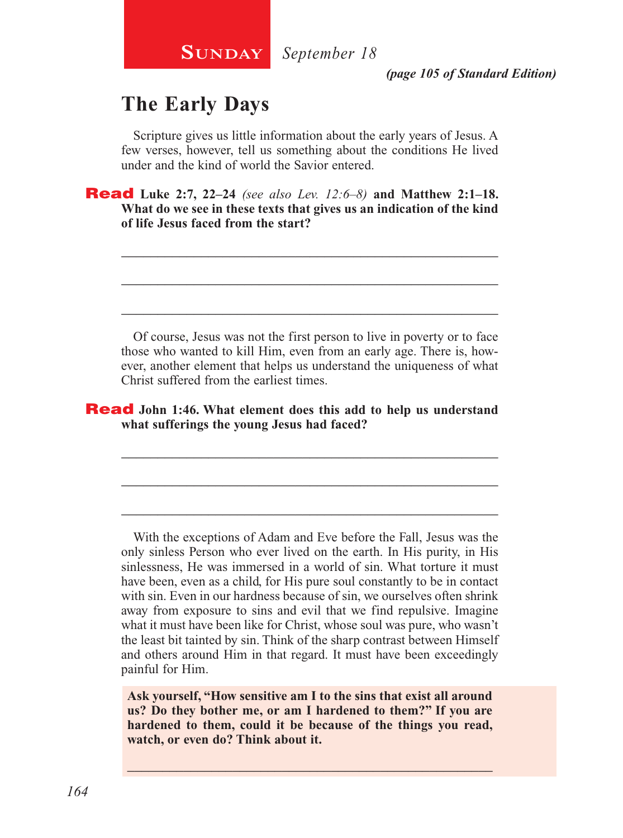### **The Early Days**

Scripture gives us little information about the early years of Jesus. A few verses, however, tell us something about the conditions He lived under and the kind of world the Savior entered.

\_\_\_\_\_\_\_\_\_\_\_\_\_\_\_\_\_\_\_\_\_\_\_\_\_\_\_\_\_\_\_\_\_\_\_\_\_\_\_\_\_\_\_\_\_\_\_\_\_\_\_\_

\_\_\_\_\_\_\_\_\_\_\_\_\_\_\_\_\_\_\_\_\_\_\_\_\_\_\_\_\_\_\_\_\_\_\_\_\_\_\_\_\_\_\_\_\_\_\_\_\_\_\_\_

\_\_\_\_\_\_\_\_\_\_\_\_\_\_\_\_\_\_\_\_\_\_\_\_\_\_\_\_\_\_\_\_\_\_\_\_\_\_\_\_\_\_\_\_\_\_\_\_\_\_\_\_

Read **Luke 2:7, 22–24** *(see also Lev. 12:6–8)* **and Matthew 2:1–18. What do we see in these texts that gives us an indication of the kind of life Jesus faced from the start?**

Of course, Jesus was not the first person to live in poverty or to face those who wanted to kill Him, even from an early age. There is, however, another element that helps us understand the uniqueness of what Christ suffered from the earliest times.

\_\_\_\_\_\_\_\_\_\_\_\_\_\_\_\_\_\_\_\_\_\_\_\_\_\_\_\_\_\_\_\_\_\_\_\_\_\_\_\_\_\_\_\_\_\_\_\_\_\_\_\_

\_\_\_\_\_\_\_\_\_\_\_\_\_\_\_\_\_\_\_\_\_\_\_\_\_\_\_\_\_\_\_\_\_\_\_\_\_\_\_\_\_\_\_\_\_\_\_\_\_\_\_\_

\_\_\_\_\_\_\_\_\_\_\_\_\_\_\_\_\_\_\_\_\_\_\_\_\_\_\_\_\_\_\_\_\_\_\_\_\_\_\_\_\_\_\_\_\_\_\_\_\_\_\_\_

#### Read **John 1:46. What element does this add to help us understand what sufferings the young Jesus had faced?**

With the exceptions of Adam and Eve before the Fall, Jesus was the only sinless Person who ever lived on the earth. In His purity, in His sinlessness, He was immersed in a world of sin. What torture it must have been, even as a child, for His pure soul constantly to be in contact with sin. Even in our hardness because of sin, we ourselves often shrink away from exposure to sins and evil that we find repulsive. Imagine what it must have been like for Christ, whose soul was pure, who wasn't the least bit tainted by sin. Think of the sharp contrast between Himself and others around Him in that regard. It must have been exceedingly painful for Him.

**Ask yourself, "How sensitive am I to the sins that exist all around us? Do they bother me, or am I hardened to them?" If you are hardened to them, could it be because of the things you read, watch, or even do? Think about it.**

\_\_\_\_\_\_\_\_\_\_\_\_\_\_\_\_\_\_\_\_\_\_\_\_\_\_\_\_\_\_\_\_\_\_\_\_\_\_\_\_\_\_\_\_\_\_\_\_\_\_\_\_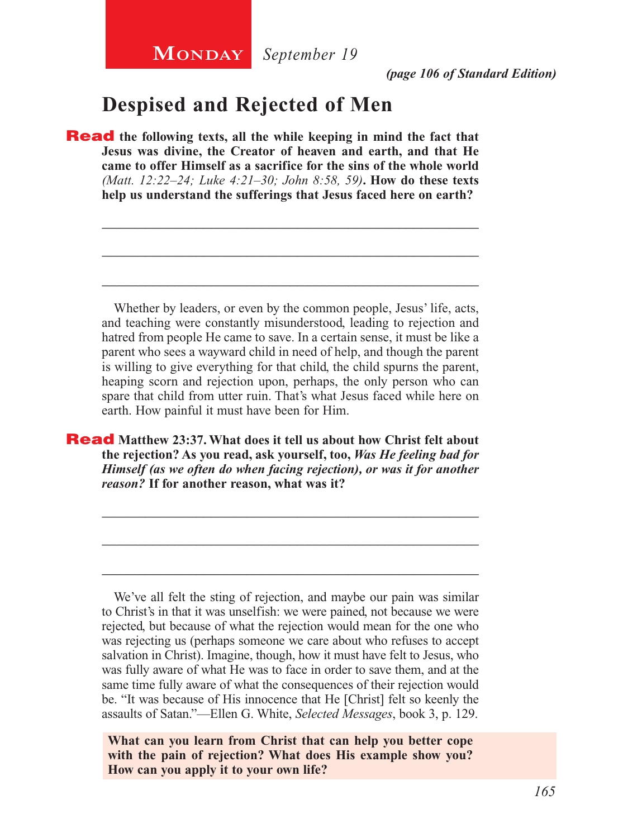### **Despised and Rejected of Men**

**Read** the following texts, all the while keeping in mind the fact that **Jesus was divine, the Creator of heaven and earth, and that He came to offer Himself as a sacrifice for the sins of the whole world**  *(Matt. 12:22–24; Luke 4:21–30; John 8:58, 59)***. How do these texts help us understand the sufferings that Jesus faced here on earth?**

Whether by leaders, or even by the common people, Jesus' life, acts, and teaching were constantly misunderstood, leading to rejection and hatred from people He came to save. In a certain sense, it must be like a parent who sees a wayward child in need of help, and though the parent is willing to give everything for that child, the child spurns the parent, heaping scorn and rejection upon, perhaps, the only person who can spare that child from utter ruin. That's what Jesus faced while here on earth. How painful it must have been for Him.

\_\_\_\_\_\_\_\_\_\_\_\_\_\_\_\_\_\_\_\_\_\_\_\_\_\_\_\_\_\_\_\_\_\_\_\_\_\_\_\_\_\_\_\_\_\_\_\_\_\_\_\_

\_\_\_\_\_\_\_\_\_\_\_\_\_\_\_\_\_\_\_\_\_\_\_\_\_\_\_\_\_\_\_\_\_\_\_\_\_\_\_\_\_\_\_\_\_\_\_\_\_\_\_\_

\_\_\_\_\_\_\_\_\_\_\_\_\_\_\_\_\_\_\_\_\_\_\_\_\_\_\_\_\_\_\_\_\_\_\_\_\_\_\_\_\_\_\_\_\_\_\_\_\_\_\_\_

Read **Matthew 23:37. What does it tell us about how Christ felt about the rejection? As you read, ask yourself, too,** *Was He feeling bad for Himself (as we often do when facing rejection), or was it for another reason?* **If for another reason, what was it?** 

\_\_\_\_\_\_\_\_\_\_\_\_\_\_\_\_\_\_\_\_\_\_\_\_\_\_\_\_\_\_\_\_\_\_\_\_\_\_\_\_\_\_\_\_\_\_\_\_\_\_\_\_

\_\_\_\_\_\_\_\_\_\_\_\_\_\_\_\_\_\_\_\_\_\_\_\_\_\_\_\_\_\_\_\_\_\_\_\_\_\_\_\_\_\_\_\_\_\_\_\_\_\_\_\_

\_\_\_\_\_\_\_\_\_\_\_\_\_\_\_\_\_\_\_\_\_\_\_\_\_\_\_\_\_\_\_\_\_\_\_\_\_\_\_\_\_\_\_\_\_\_\_\_\_\_\_\_

We've all felt the sting of rejection, and maybe our pain was similar to Christ's in that it was unselfish: we were pained, not because we were rejected, but because of what the rejection would mean for the one who was rejecting us (perhaps someone we care about who refuses to accept salvation in Christ). Imagine, though, how it must have felt to Jesus, who was fully aware of what He was to face in order to save them, and at the same time fully aware of what the consequences of their rejection would be. "It was because of His innocence that He [Christ] felt so keenly the assaults of Satan."—Ellen G. White, *Selected Messages*, book 3, p. 129.

**What can you learn from Christ that can help you better cope with the pain of rejection? What does His example show you? How can you apply it to your own life?**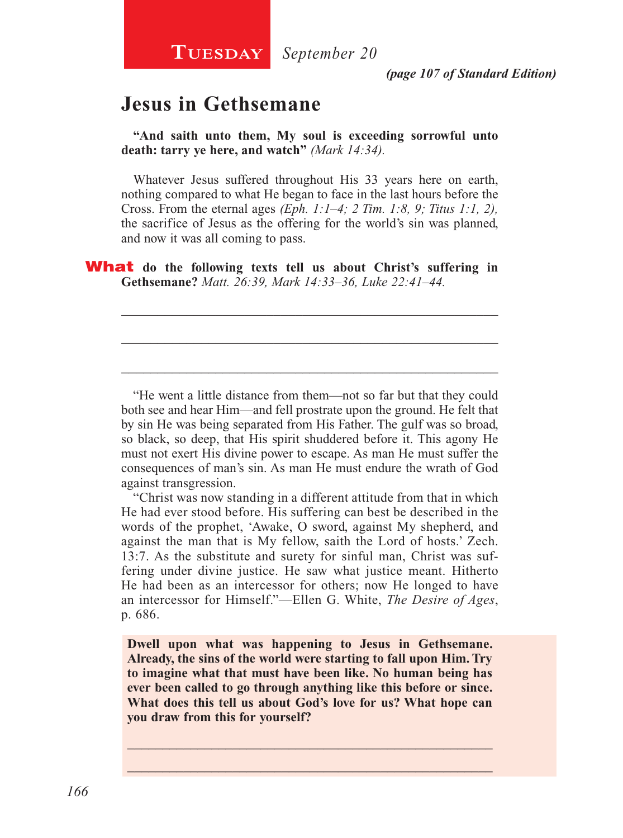**TUESDAY** *September 20* 

*(page 107 of Standard Edition)*

### **Jesus in Gethsemane**

**"And saith unto them, My soul is exceeding sorrowful unto death: tarry ye here, and watch"** *(Mark 14:34).*

Whatever Jesus suffered throughout His 33 years here on earth, nothing compared to what He began to face in the last hours before the Cross. From the eternal ages *(Eph. 1:1–4; 2 Tim. 1:8, 9; Titus 1:1, 2),*  the sacrifice of Jesus as the offering for the world's sin was planned, and now it was all coming to pass.

\_\_\_\_\_\_\_\_\_\_\_\_\_\_\_\_\_\_\_\_\_\_\_\_\_\_\_\_\_\_\_\_\_\_\_\_\_\_\_\_\_\_\_\_\_\_\_\_\_\_\_\_

\_\_\_\_\_\_\_\_\_\_\_\_\_\_\_\_\_\_\_\_\_\_\_\_\_\_\_\_\_\_\_\_\_\_\_\_\_\_\_\_\_\_\_\_\_\_\_\_\_\_\_\_

\_\_\_\_\_\_\_\_\_\_\_\_\_\_\_\_\_\_\_\_\_\_\_\_\_\_\_\_\_\_\_\_\_\_\_\_\_\_\_\_\_\_\_\_\_\_\_\_\_\_\_\_

What **do the following texts tell us about Christ's suffering in Gethsemane?** *Matt. 26:39, Mark 14:33–36, Luke 22:41–44.*

"He went a little distance from them—not so far but that they could both see and hear Him—and fell prostrate upon the ground. He felt that by sin He was being separated from His Father. The gulf was so broad, so black, so deep, that His spirit shuddered before it. This agony He must not exert His divine power to escape. As man He must suffer the consequences of man's sin. As man He must endure the wrath of God against transgression.

"Christ was now standing in a different attitude from that in which He had ever stood before. His suffering can best be described in the words of the prophet, 'Awake, O sword, against My shepherd, and against the man that is My fellow, saith the Lord of hosts.' Zech. 13:7. As the substitute and surety for sinful man, Christ was suffering under divine justice. He saw what justice meant. Hitherto He had been as an intercessor for others; now He longed to have an intercessor for Himself."—Ellen G. White, *The Desire of Ages*, p. 686.

**Dwell upon what was happening to Jesus in Gethsemane. Already, the sins of the world were starting to fall upon Him. Try to imagine what that must have been like. No human being has ever been called to go through anything like this before or since. What does this tell us about God's love for us? What hope can you draw from this for yourself?**

 $\_$  , and the set of the set of the set of the set of the set of the set of the set of the set of the set of the set of the set of the set of the set of the set of the set of the set of the set of the set of the set of th \_\_\_\_\_\_\_\_\_\_\_\_\_\_\_\_\_\_\_\_\_\_\_\_\_\_\_\_\_\_\_\_\_\_\_\_\_\_\_\_\_\_\_\_\_\_\_\_\_\_\_\_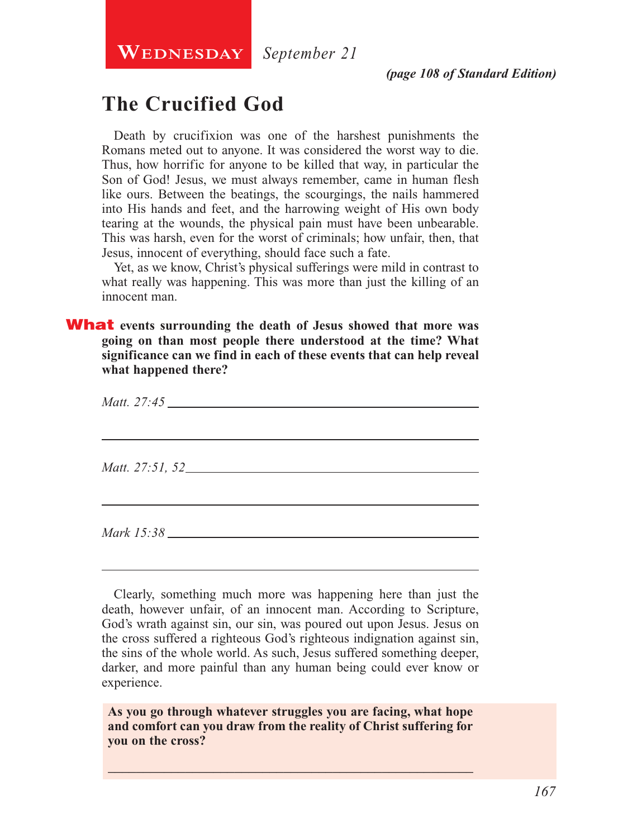**Wednesday**

*September 21*

### **The Crucified God**

Death by crucifixion was one of the harshest punishments the Romans meted out to anyone. It was considered the worst way to die. Thus, how horrific for anyone to be killed that way, in particular the Son of God! Jesus, we must always remember, came in human flesh like ours. Between the beatings, the scourgings, the nails hammered into His hands and feet, and the harrowing weight of His own body tearing at the wounds, the physical pain must have been unbearable. This was harsh, even for the worst of criminals; how unfair, then, that Jesus, innocent of everything, should face such a fate.

Yet, as we know, Christ's physical sufferings were mild in contrast to what really was happening. This was more than just the killing of an innocent man.

What **events surrounding the death of Jesus showed that more was going on than most people there understood at the time? What significance can we find in each of these events that can help reveal what happened there?**

| Matt. 27:45            |  |  |
|------------------------|--|--|
| <i>Matt.</i> 27:51, 52 |  |  |
|                        |  |  |

Clearly, something much more was happening here than just the death, however unfair, of an innocent man. According to Scripture, God's wrath against sin, our sin, was poured out upon Jesus. Jesus on the cross suffered a righteous God's righteous indignation against sin, the sins of the whole world. As such, Jesus suffered something deeper, darker, and more painful than any human being could ever know or experience.

**As you go through whatever struggles you are facing, what hope and comfort can you draw from the reality of Christ suffering for you on the cross?**

\_\_\_\_\_\_\_\_\_\_\_\_\_\_\_\_\_\_\_\_\_\_\_\_\_\_\_\_\_\_\_\_\_\_\_\_\_\_\_\_\_\_\_\_\_\_\_\_\_\_\_\_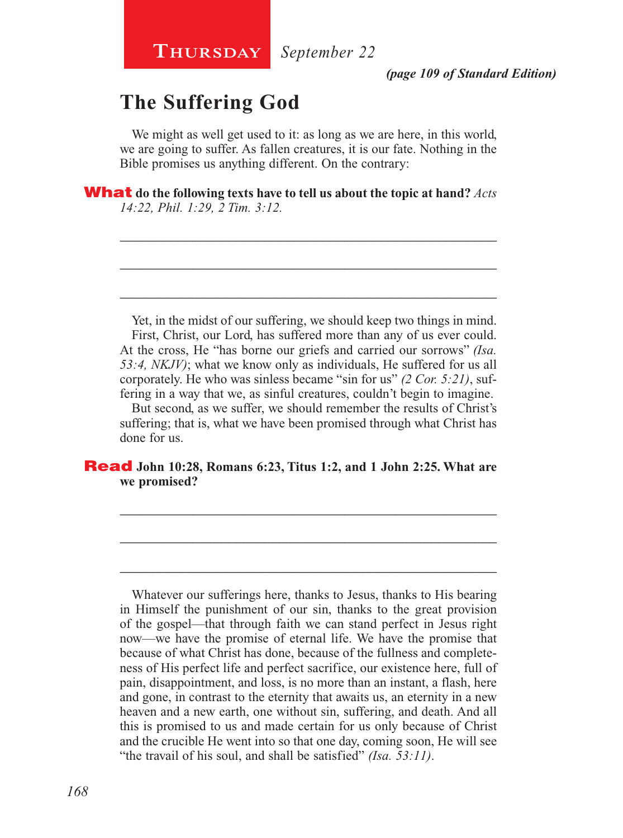### **The Suffering God**

We might as well get used to it: as long as we are here, in this world, we are going to suffer. As fallen creatures, it is our fate. Nothing in the Bible promises us anything different. On the contrary:

\_\_\_\_\_\_\_\_\_\_\_\_\_\_\_\_\_\_\_\_\_\_\_\_\_\_\_\_\_\_\_\_\_\_\_\_\_\_\_\_\_\_\_\_\_\_\_\_\_\_\_\_

\_\_\_\_\_\_\_\_\_\_\_\_\_\_\_\_\_\_\_\_\_\_\_\_\_\_\_\_\_\_\_\_\_\_\_\_\_\_\_\_\_\_\_\_\_\_\_\_\_\_\_\_

\_\_\_\_\_\_\_\_\_\_\_\_\_\_\_\_\_\_\_\_\_\_\_\_\_\_\_\_\_\_\_\_\_\_\_\_\_\_\_\_\_\_\_\_\_\_\_\_\_\_\_\_

What **do the following texts have to tell us about the topic at hand?** *Acts 14:22, Phil. 1:29, 2 Tim. 3:12.*

Yet, in the midst of our suffering, we should keep two things in mind. First, Christ, our Lord, has suffered more than any of us ever could. At the cross, He "has borne our griefs and carried our sorrows" *(Isa. 53:4, NKJV)*; what we know only as individuals, He suffered for us all corporately. He who was sinless became "sin for us" *(2 Cor. 5:21)*, suffering in a way that we, as sinful creatures, couldn't begin to imagine.

But second, as we suffer, we should remember the results of Christ's suffering; that is, what we have been promised through what Christ has done for us.

\_\_\_\_\_\_\_\_\_\_\_\_\_\_\_\_\_\_\_\_\_\_\_\_\_\_\_\_\_\_\_\_\_\_\_\_\_\_\_\_\_\_\_\_\_\_\_\_\_\_\_\_

\_\_\_\_\_\_\_\_\_\_\_\_\_\_\_\_\_\_\_\_\_\_\_\_\_\_\_\_\_\_\_\_\_\_\_\_\_\_\_\_\_\_\_\_\_\_\_\_\_\_\_\_

\_\_\_\_\_\_\_\_\_\_\_\_\_\_\_\_\_\_\_\_\_\_\_\_\_\_\_\_\_\_\_\_\_\_\_\_\_\_\_\_\_\_\_\_\_\_\_\_\_\_\_\_

#### Read **John 10:28, Romans 6:23, Titus 1:2, and 1 John 2:25. What are we promised?**

Whatever our sufferings here, thanks to Jesus, thanks to His bearing in Himself the punishment of our sin, thanks to the great provision of the gospel—that through faith we can stand perfect in Jesus right now—we have the promise of eternal life. We have the promise that because of what Christ has done, because of the fullness and completeness of His perfect life and perfect sacrifice, our existence here, full of pain, disappointment, and loss, is no more than an instant, a flash, here and gone, in contrast to the eternity that awaits us, an eternity in a new heaven and a new earth, one without sin, suffering, and death. And all this is promised to us and made certain for us only because of Christ and the crucible He went into so that one day, coming soon, He will see "the travail of his soul, and shall be satisfied" *(Isa. 53:11)*.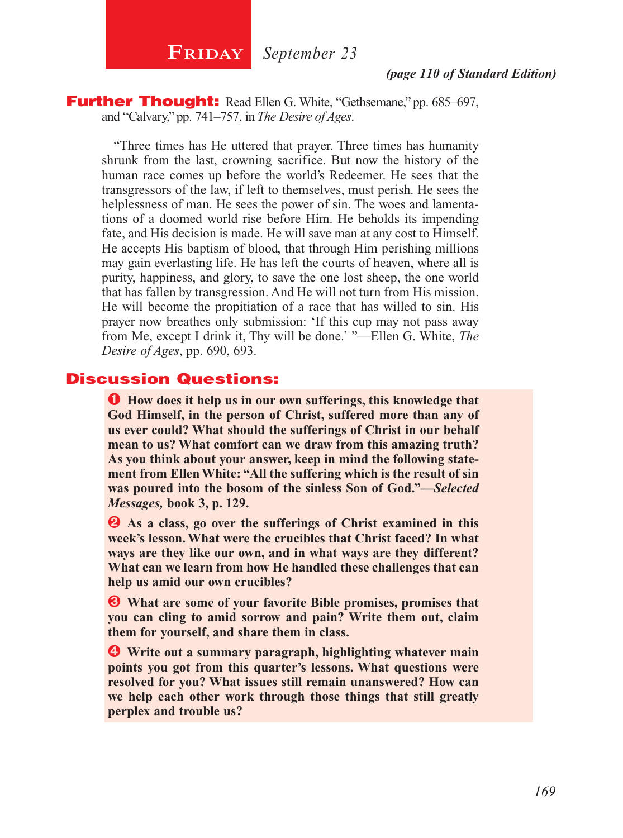**FRIDAY** September 23

#### *(page 110 of Standard Edition)*

**Further Thought:** Read Ellen G. White, "Gethsemane," pp. 685–697, and "Calvary," pp. 741–757, in *The Desire of Ages*.

"Three times has He uttered that prayer. Three times has humanity shrunk from the last, crowning sacrifice. But now the history of the human race comes up before the world's Redeemer. He sees that the transgressors of the law, if left to themselves, must perish. He sees the helplessness of man. He sees the power of sin. The woes and lamentations of a doomed world rise before Him. He beholds its impending fate, and His decision is made. He will save man at any cost to Himself. He accepts His baptism of blood, that through Him perishing millions may gain everlasting life. He has left the courts of heaven, where all is purity, happiness, and glory, to save the one lost sheep, the one world that has fallen by transgression. And He will not turn from His mission. He will become the propitiation of a race that has willed to sin. His prayer now breathes only submission: 'If this cup may not pass away from Me, except I drink it, Thy will be done.' "—Ellen G. White, *The Desire of Ages*, pp. 690, 693.

#### Discussion Questions:

Ê **How does it help us in our own sufferings, this knowledge that God Himself, in the person of Christ, suffered more than any of us ever could? What should the sufferings of Christ in our behalf mean to us? What comfort can we draw from this amazing truth? As you think about your answer, keep in mind the following statement from Ellen White: "All the suffering which is the result of sin was poured into the bosom of the sinless Son of God."—***Selected Messages,* **book 3, p. 129.**

 $\bullet$  As a class, go over the sufferings of Christ examined in this **week's lesson. What were the crucibles that Christ faced? In what ways are they like our own, and in what ways are they different? What can we learn from how He handled these challenges that can help us amid our own crucibles?**

 $\bullet$  What are some of your favorite Bible promises, promises that **you can cling to amid sorrow and pain? Write them out, claim them for yourself, and share them in class.**

**<sup>4</sup>** Write out a summary paragraph, highlighting whatever main **points you got from this quarter's lessons. What questions were resolved for you? What issues still remain unanswered? How can we help each other work through those things that still greatly perplex and trouble us?**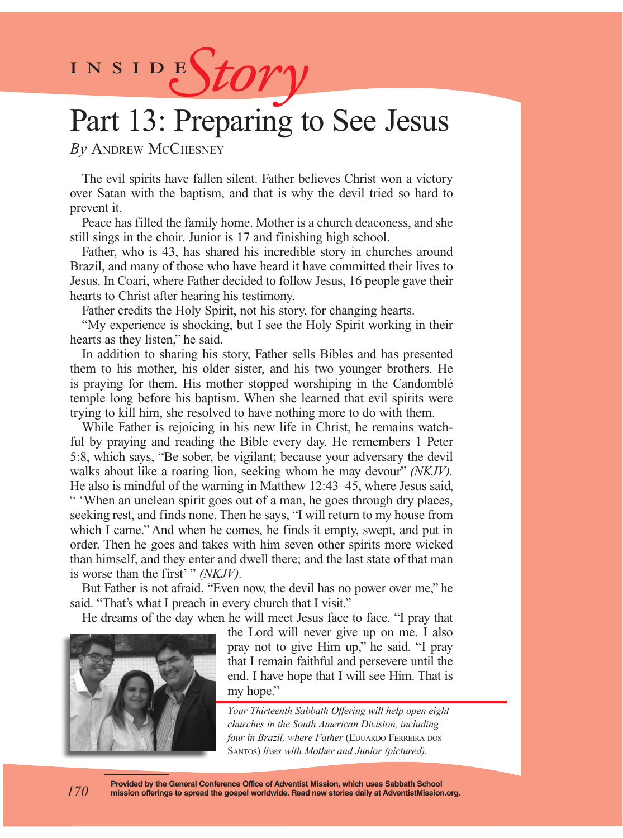INSIDEStory

# Part 13: Preparing to See Jesus

*By* Andrew McChesney

The evil spirits have fallen silent. Father believes Christ won a victory over Satan with the baptism, and that is why the devil tried so hard to prevent it.

Peace has filled the family home. Mother is a church deaconess, and she still sings in the choir. Junior is 17 and finishing high school.

Father, who is 43, has shared his incredible story in churches around Brazil, and many of those who have heard it have committed their lives to Jesus. In Coari, where Father decided to follow Jesus, 16 people gave their hearts to Christ after hearing his testimony.

Father credits the Holy Spirit, not his story, for changing hearts.

"My experience is shocking, but I see the Holy Spirit working in their hearts as they listen," he said.

In addition to sharing his story, Father sells Bibles and has presented them to his mother, his older sister, and his two younger brothers. He is praying for them. His mother stopped worshiping in the Candomblé temple long before his baptism. When she learned that evil spirits were trying to kill him, she resolved to have nothing more to do with them.

While Father is rejoicing in his new life in Christ, he remains watchful by praying and reading the Bible every day. He remembers 1 Peter 5:8, which says, "Be sober, be vigilant; because your adversary the devil walks about like a roaring lion, seeking whom he may devour" *(NKJV).* He also is mindful of the warning in Matthew 12:43–45, where Jesus said, " 'When an unclean spirit goes out of a man, he goes through dry places, seeking rest, and finds none. Then he says, "I will return to my house from which I came." And when he comes, he finds it empty, swept, and put in order. Then he goes and takes with him seven other spirits more wicked than himself, and they enter and dwell there; and the last state of that man is worse than the first' " *(NKJV)*.

But Father is not afraid. "Even now, the devil has no power over me," he said. "That's what I preach in every church that I visit."

He dreams of the day when he will meet Jesus face to face. "I pray that



the Lord will never give up on me. I also pray not to give Him up," he said. "I pray that I remain faithful and persevere until the end. I have hope that I will see Him. That is my hope."

*Your Thirteenth Sabbath Offering will help open eight churches in the South American Division, including four in Brazil, where Father* (EDUARDO FERREIRA DOS Santos) *lives with Mother and Junior (pictured).*

**Provided by the General Conference Office of Adventist Mission, which uses Sabbath School mission offerings to spread the gospel worldwide. Read new stories daily at AdventistMission.org.**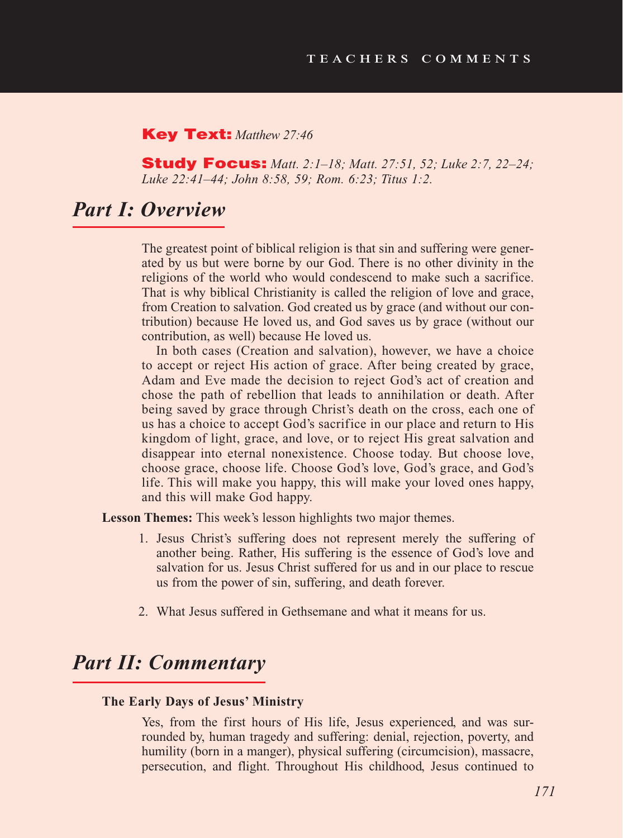#### Key Text: *Matthew 27:46*

Study Focus: *Matt. 2:1–18; Matt. 27:51, 52; Luke 2:7, 22–24; Luke 22:41–44; John 8:58, 59; Rom. 6:23; Titus 1:2.*

### *Part I: Overview*

The greatest point of biblical religion is that sin and suffering were generated by us but were borne by our God. There is no other divinity in the religions of the world who would condescend to make such a sacrifice. That is why biblical Christianity is called the religion of love and grace, from Creation to salvation. God created us by grace (and without our contribution) because He loved us, and God saves us by grace (without our contribution, as well) because He loved us.

In both cases (Creation and salvation), however, we have a choice to accept or reject His action of grace. After being created by grace, Adam and Eve made the decision to reject God's act of creation and chose the path of rebellion that leads to annihilation or death. After being saved by grace through Christ's death on the cross, each one of us has a choice to accept God's sacrifice in our place and return to His kingdom of light, grace, and love, or to reject His great salvation and disappear into eternal nonexistence. Choose today. But choose love, choose grace, choose life. Choose God's love, God's grace, and God's life. This will make you happy, this will make your loved ones happy, and this will make God happy.

Lesson Themes: This week's lesson highlights two major themes.

- 1. Jesus Christ's suffering does not represent merely the suffering of another being. Rather, His suffering is the essence of God's love and salvation for us. Jesus Christ suffered for us and in our place to rescue us from the power of sin, suffering, and death forever.
- 2. What Jesus suffered in Gethsemane and what it means for us.

### *Part II: Commentary*

#### **The Early Days of Jesus' Ministry**

Yes, from the first hours of His life, Jesus experienced, and was surrounded by, human tragedy and suffering: denial, rejection, poverty, and humility (born in a manger), physical suffering (circumcision), massacre, persecution, and flight. Throughout His childhood, Jesus continued to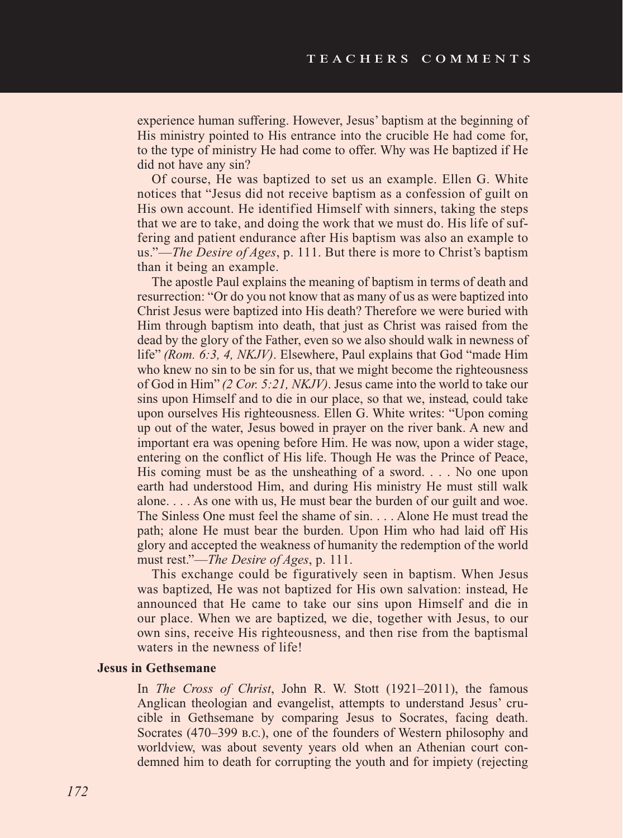experience human suffering. However, Jesus' baptism at the beginning of His ministry pointed to His entrance into the crucible He had come for, to the type of ministry He had come to offer. Why was He baptized if He did not have any sin?

Of course, He was baptized to set us an example. Ellen G. White notices that "Jesus did not receive baptism as a confession of guilt on His own account. He identified Himself with sinners, taking the steps that we are to take, and doing the work that we must do. His life of suffering and patient endurance after His baptism was also an example to us."—*The Desire of Ages*, p. 111. But there is more to Christ's baptism than it being an example.

The apostle Paul explains the meaning of baptism in terms of death and resurrection: "Or do you not know that as many of us as were baptized into Christ Jesus were baptized into His death? Therefore we were buried with Him through baptism into death, that just as Christ was raised from the dead by the glory of the Father, even so we also should walk in newness of life" *(Rom. 6:3, 4, NKJV)*. Elsewhere, Paul explains that God "made Him who knew no sin to be sin for us, that we might become the righteousness of God in Him" *(2 Cor. 5:21, NKJV)*. Jesus came into the world to take our sins upon Himself and to die in our place, so that we, instead, could take upon ourselves His righteousness. Ellen G. White writes: "Upon coming up out of the water, Jesus bowed in prayer on the river bank. A new and important era was opening before Him. He was now, upon a wider stage, entering on the conflict of His life. Though He was the Prince of Peace, His coming must be as the unsheathing of a sword.  $\ldots$  No one upon earth had understood Him, and during His ministry He must still walk alone. . . . As one with us, He must bear the burden of our guilt and woe. The Sinless One must feel the shame of sin. . . . Alone He must tread the path; alone He must bear the burden. Upon Him who had laid off His glory and accepted the weakness of humanity the redemption of the world must rest."—*The Desire of Ages*, p. 111.

This exchange could be figuratively seen in baptism. When Jesus was baptized, He was not baptized for His own salvation: instead, He announced that He came to take our sins upon Himself and die in our place. When we are baptized, we die, together with Jesus, to our own sins, receive His righteousness, and then rise from the baptismal waters in the newness of life!

#### **Jesus in Gethsemane**

In *The Cross of Christ*, John R. W. Stott (1921–2011), the famous Anglican theologian and evangelist, attempts to understand Jesus' crucible in Gethsemane by comparing Jesus to Socrates, facing death. Socrates (470–399 b.c.), one of the founders of Western philosophy and worldview, was about seventy years old when an Athenian court condemned him to death for corrupting the youth and for impiety (rejecting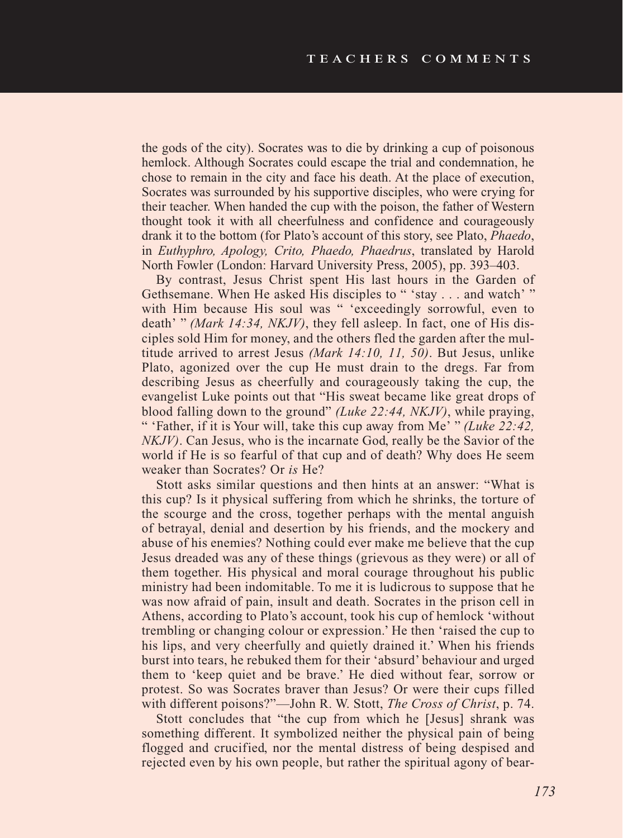the gods of the city). Socrates was to die by drinking a cup of poisonous hemlock. Although Socrates could escape the trial and condemnation, he chose to remain in the city and face his death. At the place of execution, Socrates was surrounded by his supportive disciples, who were crying for their teacher. When handed the cup with the poison, the father of Western thought took it with all cheerfulness and confidence and courageously drank it to the bottom (for Plato's account of this story, see Plato, *Phaedo*, in *Euthyphro, Apology, Crito, Phaedo, Phaedrus*, translated by Harold North Fowler (London: Harvard University Press, 2005), pp. 393–403.

By contrast, Jesus Christ spent His last hours in the Garden of Gethsemane. When He asked His disciples to "'stay . . . and watch'" with Him because His soul was " 'exceedingly sorrowful, even to death' " *(Mark 14:34, NKJV)*, they fell asleep. In fact, one of His disciples sold Him for money, and the others fled the garden after the multitude arrived to arrest Jesus *(Mark 14:10, 11, 50)*. But Jesus, unlike Plato, agonized over the cup He must drain to the dregs. Far from describing Jesus as cheerfully and courageously taking the cup, the evangelist Luke points out that "His sweat became like great drops of blood falling down to the ground" *(Luke 22:44, NKJV)*, while praying, " 'Father, if it is Your will, take this cup away from Me' " *(Luke 22:42, NKJV*). Can Jesus, who is the incarnate God, really be the Savior of the world if He is so fearful of that cup and of death? Why does He seem weaker than Socrates? Or *is* He?

Stott asks similar questions and then hints at an answer: "What is this cup? Is it physical suffering from which he shrinks, the torture of the scourge and the cross, together perhaps with the mental anguish of betrayal, denial and desertion by his friends, and the mockery and abuse of his enemies? Nothing could ever make me believe that the cup Jesus dreaded was any of these things (grievous as they were) or all of them together. His physical and moral courage throughout his public ministry had been indomitable. To me it is ludicrous to suppose that he was now afraid of pain, insult and death. Socrates in the prison cell in Athens, according to Plato's account, took his cup of hemlock 'without trembling or changing colour or expression.' He then 'raised the cup to his lips, and very cheerfully and quietly drained it.' When his friends burst into tears, he rebuked them for their 'absurd' behaviour and urged them to 'keep quiet and be brave.' He died without fear, sorrow or protest. So was Socrates braver than Jesus? Or were their cups filled with different poisons?"—John R. W. Stott, *The Cross of Christ*, p. 74.

Stott concludes that "the cup from which he [Jesus] shrank was something different. It symbolized neither the physical pain of being flogged and crucified, nor the mental distress of being despised and rejected even by his own people, but rather the spiritual agony of bear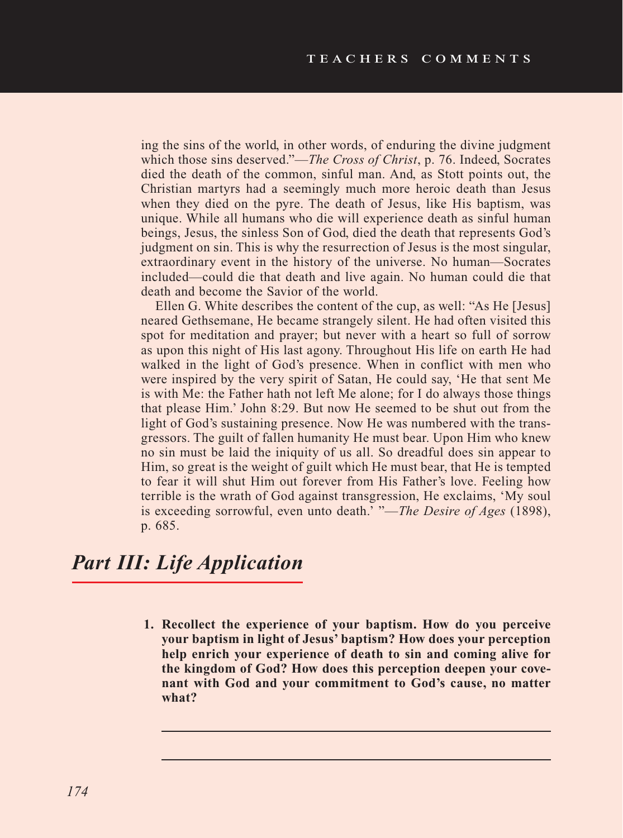ing the sins of the world, in other words, of enduring the divine judgment which those sins deserved."—*The Cross of Christ*, p. 76. Indeed, Socrates died the death of the common, sinful man. And, as Stott points out, the Christian martyrs had a seemingly much more heroic death than Jesus when they died on the pyre. The death of Jesus, like His baptism, was unique. While all humans who die will experience death as sinful human beings, Jesus, the sinless Son of God, died the death that represents God's judgment on sin. This is why the resurrection of Jesus is the most singular, extraordinary event in the history of the universe. No human—Socrates included—could die that death and live again. No human could die that death and become the Savior of the world.

Ellen G. White describes the content of the cup, as well: "As He [Jesus] neared Gethsemane, He became strangely silent. He had often visited this spot for meditation and prayer; but never with a heart so full of sorrow as upon this night of His last agony. Throughout His life on earth He had walked in the light of God's presence. When in conflict with men who were inspired by the very spirit of Satan, He could say, 'He that sent Me is with Me: the Father hath not left Me alone; for I do always those things that please Him.' John 8:29. But now He seemed to be shut out from the light of God's sustaining presence. Now He was numbered with the transgressors. The guilt of fallen humanity He must bear. Upon Him who knew no sin must be laid the iniquity of us all. So dreadful does sin appear to Him, so great is the weight of guilt which He must bear, that He is tempted to fear it will shut Him out forever from His Father's love. Feeling how terrible is the wrath of God against transgression, He exclaims, 'My soul is exceeding sorrowful, even unto death.' "—*The Desire of Ages* (1898), p. 685.

### *Part III: Life Application*

**1. Recollect the experience of your baptism. How do you perceive your baptism in light of Jesus' baptism? How does your perception help enrich your experience of death to sin and coming alive for the kingdom of God? How does this perception deepen your covenant with God and your commitment to God's cause, no matter what?**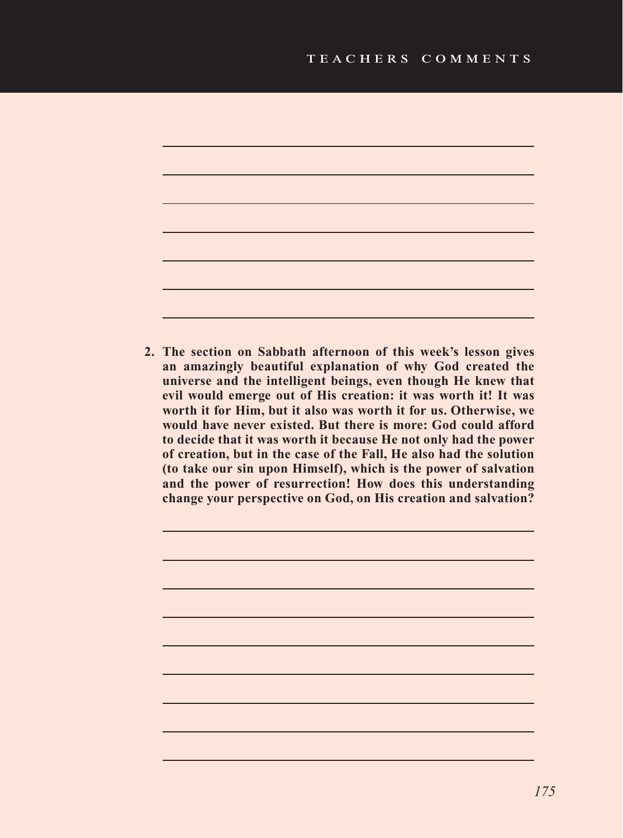

**2. The section on Sabbath afternoon of this week's lesson gives an amazingly beautiful explanation of why God created the universe and the intelligent beings, even though He knew that evil would emerge out of His creation: it was worth it! It was worth it for Him, but it also was worth it for us. Otherwise, we would have never existed. But there is more: God could afford to decide that it was worth it because He not only had the power of creation, but in the case of the Fall, He also had the solution (to take our sin upon Himself), which is the power of salvation and the power of resurrection! How does this understanding change your perspective on God, on His creation and salvation?**